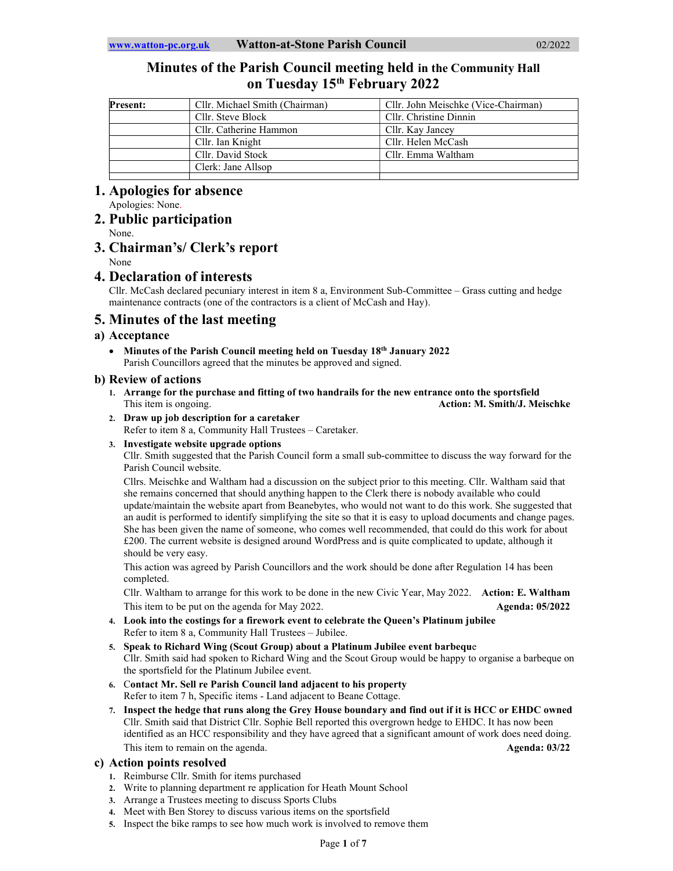# Minutes of the Parish Council meeting held in the Community Hall on Tuesday 15<sup>th</sup> February 2022

| <b>Present:</b> | Cllr. Michael Smith (Chairman) | Cllr. John Meischke (Vice-Chairman) |
|-----------------|--------------------------------|-------------------------------------|
|                 | Cllr. Steve Block              | Cllr. Christine Dinnin              |
|                 | Cllr. Catherine Hammon         | Cllr. Kay Jancey                    |
|                 | Cllr. Ian Knight               | Cllr. Helen McCash                  |
|                 | Cllr. David Stock              | Cllr. Emma Waltham                  |
|                 | Clerk: Jane Allsop             |                                     |
|                 |                                |                                     |

# 1. Apologies for absence

Apologies: None.

## 2. Public participation

None.

# 3. Chairman's/ Clerk's report

None

## 4. Declaration of interests

Cllr. McCash declared pecuniary interest in item 8 a, Environment Sub-Committee – Grass cutting and hedge maintenance contracts (one of the contractors is a client of McCash and Hay).

# 5. Minutes of the last meeting

## a) Acceptance

• Minutes of the Parish Council meeting held on Tuesday 18<sup>th</sup> January 2022 Parish Councillors agreed that the minutes be approved and signed.

## b) Review of actions

- 1. Arrange for the purchase and fitting of two handrails for the new entrance onto the sportsfield This item is ongoing. This item is ongoing. Action: M. Smith/J. Meischke
- 2. Draw up job description for a caretaker

Refer to item 8 a, Community Hall Trustees – Caretaker.

## 3. Investigate website upgrade options

Cllr. Smith suggested that the Parish Council form a small sub-committee to discuss the way forward for the Parish Council website.

Cllrs. Meischke and Waltham had a discussion on the subject prior to this meeting. Cllr. Waltham said that she remains concerned that should anything happen to the Clerk there is nobody available who could update/maintain the website apart from Beanebytes, who would not want to do this work. She suggested that an audit is performed to identify simplifying the site so that it is easy to upload documents and change pages. She has been given the name of someone, who comes well recommended, that could do this work for about £200. The current website is designed around WordPress and is quite complicated to update, although it should be very easy.

This action was agreed by Parish Councillors and the work should be done after Regulation 14 has been completed.

Cllr. Waltham to arrange for this work to be done in the new Civic Year, May 2022. Action: E. Waltham This item to be put on the agenda for May 2022. Agenda: 05/2022

- 4. Look into the costings for a firework event to celebrate the Queen's Platinum jubilee Refer to item 8 a, Community Hall Trustees – Jubilee.
- 5. Speak to Richard Wing (Scout Group) about a Platinum Jubilee event barbeque Cllr. Smith said had spoken to Richard Wing and the Scout Group would be happy to organise a barbeque on the sportsfield for the Platinum Jubilee event.
- 6. Contact Mr. Sell re Parish Council land adjacent to his property Refer to item 7 h, Specific items - Land adjacent to Beane Cottage.
- 7. Inspect the hedge that runs along the Grey House boundary and find out if it is HCC or EHDC owned Cllr. Smith said that District Cllr. Sophie Bell reported this overgrown hedge to EHDC. It has now been identified as an HCC responsibility and they have agreed that a significant amount of work does need doing. This item to remain on the agenda. Agenda: 03/22 and 03/22 and 03/22 and 03/22 and 03/22

## c) Action points resolved

- 1. Reimburse Cllr. Smith for items purchased
- 2. Write to planning department re application for Heath Mount School
- 3. Arrange a Trustees meeting to discuss Sports Clubs
- 4. Meet with Ben Storey to discuss various items on the sportsfield
- 5. Inspect the bike ramps to see how much work is involved to remove them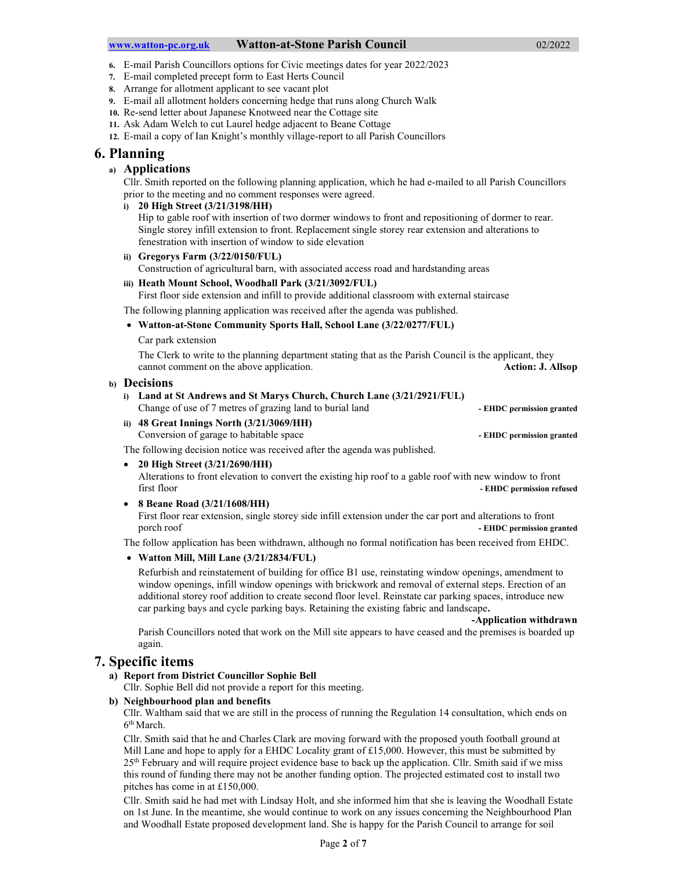#### www.watton-pc.org.uk Watton-at-Stone Parish Council 02/2022

- 6. E-mail Parish Councillors options for Civic meetings dates for year 2022/2023
- 7. E-mail completed precept form to East Herts Council
- 8. Arrange for allotment applicant to see vacant plot
- 9. E-mail all allotment holders concerning hedge that runs along Church Walk
- 10. Re-send letter about Japanese Knotweed near the Cottage site
- 11. Ask Adam Welch to cut Laurel hedge adjacent to Beane Cottage
- 12. E-mail a copy of Ian Knight's monthly village-report to all Parish Councillors

## 6. Planning

## a) Applications

Cllr. Smith reported on the following planning application, which he had e-mailed to all Parish Councillors prior to the meeting and no comment responses were agreed.

## i) 20 High Street (3/21/3198/HH)

Hip to gable roof with insertion of two dormer windows to front and repositioning of dormer to rear. Single storey infill extension to front. Replacement single storey rear extension and alterations to fenestration with insertion of window to side elevation

ii) Gregorys Farm (3/22/0150/FUL)

Construction of agricultural barn, with associated access road and hardstanding areas

## iii) Heath Mount School, Woodhall Park (3/21/3092/FUL)

First floor side extension and infill to provide additional classroom with external staircase

The following planning application was received after the agenda was published.

Watton-at-Stone Community Sports Hall, School Lane (3/22/0277/FUL)

Car park extension

The Clerk to write to the planning department stating that as the Parish Council is the applicant, they cannot comment on the above application. Action: J. Allsop

## b) Decisions

i) Land at St Andrews and St Marys Church, Church Lane (3/21/2921/FUL)

Change of use of 7 metres of grazing land to burial land Theorem - EHDC permission granted

ii) 48 Great Innings North (3/21/3069/HH) Conversion of garage to habitable space **- EHDC** permission granted

The following decision notice was received after the agenda was published.

## 20 High Street (3/21/2690/HH)

Alterations to front elevation to convert the existing hip roof to a gable roof with new window to front first floor **EHDC** permission refused

8 Beane Road (3/21/1608/HH)

First floor rear extension, single storey side infill extension under the car port and alterations to front porch roof **- EHDC** permission granted

The follow application has been withdrawn, although no formal notification has been received from EHDC.

## Watton Mill, Mill Lane (3/21/2834/FUL)

Refurbish and reinstatement of building for office B1 use, reinstating window openings, amendment to window openings, infill window openings with brickwork and removal of external steps. Erection of an additional storey roof addition to create second floor level. Reinstate car parking spaces, introduce new car parking bays and cycle parking bays. Retaining the existing fabric and landscape.

-Application withdrawn

Parish Councillors noted that work on the Mill site appears to have ceased and the premises is boarded up again.

## 7. Specific items

## a) Report from District Councillor Sophie Bell

Cllr. Sophie Bell did not provide a report for this meeting.

#### b) Neighbourhood plan and benefits

Cllr. Waltham said that we are still in the process of running the Regulation 14 consultation, which ends on 6<sup>th</sup> March.

Cllr. Smith said that he and Charles Clark are moving forward with the proposed youth football ground at Mill Lane and hope to apply for a EHDC Locality grant of £15,000. However, this must be submitted by 25th February and will require project evidence base to back up the application. Cllr. Smith said if we miss this round of funding there may not be another funding option. The projected estimated cost to install two pitches has come in at £150,000.

Cllr. Smith said he had met with Lindsay Holt, and she informed him that she is leaving the Woodhall Estate on 1st June. In the meantime, she would continue to work on any issues concerning the Neighbourhood Plan and Woodhall Estate proposed development land. She is happy for the Parish Council to arrange for soil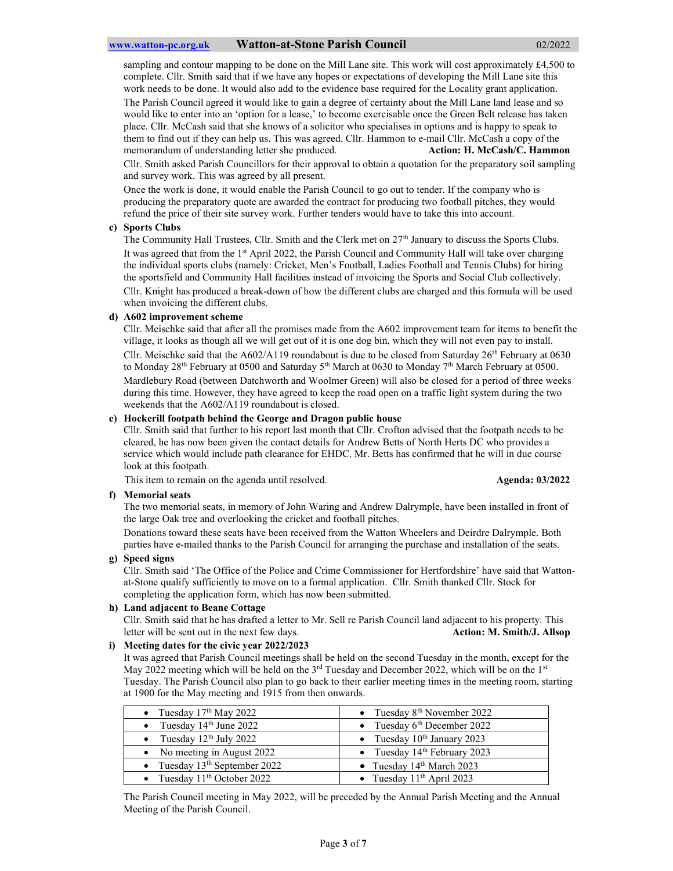sampling and contour mapping to be done on the Mill Lane site. This work will cost approximately £4,500 to complete. Cllr. Smith said that if we have any hopes or expectations of developing the Mill Lane site this work needs to be done. It would also add to the evidence base required for the Locality grant application. The Parish Council agreed it would like to gain a degree of certainty about the Mill Lane land lease and so would like to enter into an 'option for a lease,' to become exercisable once the Green Belt release has taken place. Cllr. McCash said that she knows of a solicitor who specialises in options and is happy to speak to them to find out if they can help us. This was agreed. Cllr. Hammon to e-mail Cllr. McCash a copy of the memorandum of understanding letter she produced. Action: H. McCash/C. Hammon

Cllr. Smith asked Parish Councillors for their approval to obtain a quotation for the preparatory soil sampling and survey work. This was agreed by all present.

Once the work is done, it would enable the Parish Council to go out to tender. If the company who is producing the preparatory quote are awarded the contract for producing two football pitches, they would refund the price of their site survey work. Further tenders would have to take this into account.

#### c) Sports Clubs

The Community Hall Trustees, Cllr. Smith and the Clerk met on 27<sup>th</sup> January to discuss the Sports Clubs. It was agreed that from the 1<sup>st</sup> April 2022, the Parish Council and Community Hall will take over charging the individual sports clubs (namely: Cricket, Men's Football, Ladies Football and Tennis Clubs) for hiring the sportsfield and Community Hall facilities instead of invoicing the Sports and Social Club collectively. Cllr. Knight has produced a break-down of how the different clubs are charged and this formula will be used when invoicing the different clubs.

#### d) A602 improvement scheme

Cllr. Meischke said that after all the promises made from the A602 improvement team for items to benefit the village, it looks as though all we will get out of it is one dog bin, which they will not even pay to install. Cllr. Meischke said that the  $A602/A119$  roundabout is due to be closed from Saturday  $26<sup>th</sup>$  February at 0630 to Monday 28<sup>th</sup> February at 0500 and Saturday 5<sup>th</sup> March at 0630 to Monday 7<sup>th</sup> March February at 0500. Mardlebury Road (between Datchworth and Woolmer Green) will also be closed for a period of three weeks during this time. However, they have agreed to keep the road open on a traffic light system during the two weekends that the A602/A119 roundabout is closed.

## e) Hockerill footpath behind the George and Dragon public house

Cllr. Smith said that further to his report last month that Cllr. Crofton advised that the footpath needs to be cleared, he has now been given the contact details for Andrew Betts of North Herts DC who provides a service which would include path clearance for EHDC. Mr. Betts has confirmed that he will in due course look at this footpath.

This item to remain on the agenda until resolved. Agenda: 03/2022 Agenda: 03/2022

#### f) Memorial seats

The two memorial seats, in memory of John Waring and Andrew Dalrymple, have been installed in front of the large Oak tree and overlooking the cricket and football pitches.

Donations toward these seats have been received from the Watton Wheelers and Deirdre Dalrymple. Both parties have e-mailed thanks to the Parish Council for arranging the purchase and installation of the seats.

## g) Speed signs

Cllr. Smith said 'The Office of the Police and Crime Commissioner for Hertfordshire' have said that Wattonat-Stone qualify sufficiently to move on to a formal application. Cllr. Smith thanked Cllr. Stock for completing the application form, which has now been submitted.

#### h) Land adjacent to Beane Cottage

Cllr. Smith said that he has drafted a letter to Mr. Sell re Parish Council land adjacent to his property. This letter will be sent out in the next few days. Action: M. Smith/J. Allsop

#### i) Meeting dates for the civic year 2022/2023

It was agreed that Parish Council meetings shall be held on the second Tuesday in the month, except for the May 2022 meeting which will be held on the 3<sup>rd</sup> Tuesday and December 2022, which will be on the 1<sup>st</sup> Tuesday. The Parish Council also plan to go back to their earlier meeting times in the meeting room, starting at 1900 for the May meeting and 1915 from then onwards.

| • Tuesday $17th$ May 2022       | • Tuesday $8th$ November 2022    |
|---------------------------------|----------------------------------|
| • Tuesday $14th$ June 2022      | • Tuesday $6th$ December 2022    |
| • Tuesday $12th$ July 2022      | • Tuesday $10^{th}$ January 2023 |
| • No meeting in August 2022     | • Tuesday $14th$ February 2023   |
| • Tuesday $13th$ September 2022 | • Tuesday $14th March 2023$      |
| • Tuesday $11th$ October 2022   | • Tuesday $11th$ April 2023      |

The Parish Council meeting in May 2022, will be preceded by the Annual Parish Meeting and the Annual Meeting of the Parish Council.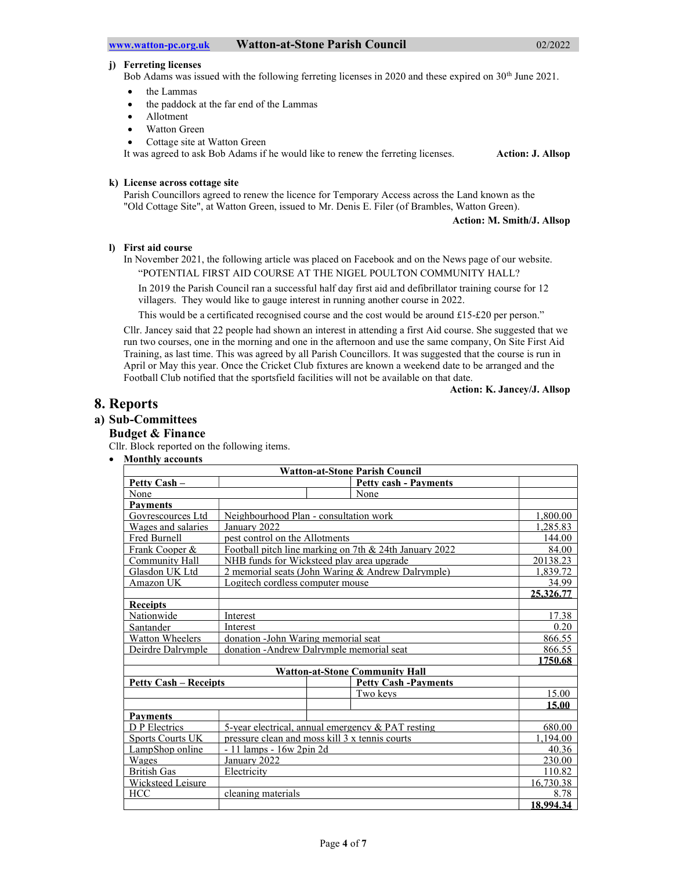## j) Ferreting licenses

Bob Adams was issued with the following ferreting licenses in 2020 and these expired on 30<sup>th</sup> June 2021.

- the Lammas
- the paddock at the far end of the Lammas
- Allotment
- Watton Green
- Cottage site at Watton Green

It was agreed to ask Bob Adams if he would like to renew the ferreting licenses. Action: J. Allsop

## k) License across cottage site

Parish Councillors agreed to renew the licence for Temporary Access across the Land known as the "Old Cottage Site", at Watton Green, issued to Mr. Denis E. Filer (of Brambles, Watton Green).

Action: M. Smith/J. Allsop

## l) First aid course

In November 2021, the following article was placed on Facebook and on the News page of our website. "POTENTIAL FIRST AID COURSE AT THE NIGEL POULTON COMMUNITY HALL?

In 2019 the Parish Council ran a successful half day first aid and defibrillator training course for 12 villagers. They would like to gauge interest in running another course in 2022.

This would be a certificated recognised course and the cost would be around £15-£20 per person."

Cllr. Jancey said that 22 people had shown an interest in attending a first Aid course. She suggested that we run two courses, one in the morning and one in the afternoon and use the same company, On Site First Aid Training, as last time. This was agreed by all Parish Councillors. It was suggested that the course is run in April or May this year. Once the Cricket Club fixtures are known a weekend date to be arranged and the Football Club notified that the sportsfield facilities will not be available on that date.

Action: K. Jancey/J. Allsop

## 8. Reports

## a) Sub-Committees

## Budget & Finance

Cllr. Block reported on the following items.

Monthly accounts

| <b>Watton-at-Stone Parish Council</b>          |                                                   |                                                        |           |  |
|------------------------------------------------|---------------------------------------------------|--------------------------------------------------------|-----------|--|
| Petty Cash -                                   |                                                   | <b>Petty cash - Payments</b>                           |           |  |
| None                                           |                                                   | None                                                   |           |  |
| <b>Payments</b>                                |                                                   |                                                        |           |  |
| Govrescources Ltd                              |                                                   | Neighbourhood Plan - consultation work                 | 1.800.00  |  |
| Wages and salaries<br>January 2022             |                                                   |                                                        | 1.285.83  |  |
| Fred Burnell<br>nest control on the Allotments |                                                   |                                                        | 144.00    |  |
| Frank Cooper &                                 |                                                   | Football pitch line marking on 7th & 24th January 2022 | 84.00     |  |
| Community Hall                                 |                                                   | NHB funds for Wicksteed play area upgrade              | 20138.23  |  |
| Glasdon UK Ltd                                 |                                                   | 2 memorial seats (John Waring & Andrew Dalrymple)      | 1.839.72  |  |
| Amazon UK<br>Logitech cordless computer mouse  |                                                   |                                                        | 34.99     |  |
|                                                |                                                   |                                                        | 25,326.77 |  |
| <b>Receipts</b>                                |                                                   |                                                        |           |  |
| Nationwide                                     | Interest                                          |                                                        | 17.38     |  |
| Santander<br>Interest                          |                                                   |                                                        | 0.20      |  |
| <b>Watton Wheelers</b>                         | donation - John Waring memorial seat              |                                                        | 866.55    |  |
| Deirdre Dalrymple                              |                                                   | donation - Andrew Dalrymple memorial seat              | 866.55    |  |
|                                                |                                                   |                                                        | 1750.68   |  |
|                                                |                                                   | <b>Watton-at-Stone Community Hall</b>                  |           |  |
| <b>Petty Cash – Receipts</b>                   |                                                   | <b>Petty Cash -Payments</b>                            |           |  |
|                                                |                                                   | Two keys                                               | 15.00     |  |
|                                                |                                                   |                                                        | 15.00     |  |
| <b>Payments</b>                                |                                                   |                                                        |           |  |
| D P Electrics                                  | 5-year electrical, annual emergency & PAT resting |                                                        | 680.00    |  |
| <b>Sports Courts UK</b>                        |                                                   | pressure clean and moss kill 3 x tennis courts         | 1.194.00  |  |
| LampShop online<br>$-11$ lamps $-16w$ 2pin 2d  |                                                   |                                                        | 40.36     |  |
| Wages                                          | January 2022                                      |                                                        | 230.00    |  |
| <b>British Gas</b>                             | Electricity                                       |                                                        | 110.82    |  |
| <b>Wicksteed Leisure</b>                       |                                                   |                                                        | 16,730.38 |  |
| HCC                                            | cleaning materials                                |                                                        | 8.78      |  |
|                                                |                                                   |                                                        | 18,994.34 |  |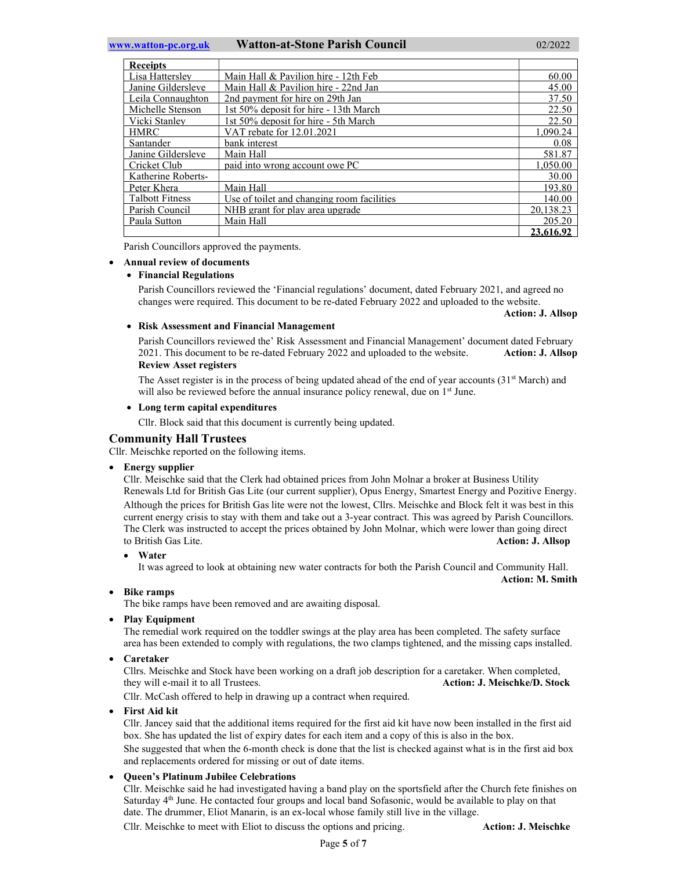#### www.watton-pc.org.uk Watton-at-Stone Parish Council 02/2022

| <b>Receipts</b>        |                                            |           |
|------------------------|--------------------------------------------|-----------|
| Lisa Hatterslev        | Main Hall & Pavilion hire - 12th Feb       | 60.00     |
| Janine Gildersleve     | Main Hall & Pavilion hire - 22nd Jan       | 45.00     |
| Leila Connaughton      | 2nd payment for hire on 29th Jan           | 37.50     |
| Michelle Stenson       | 1st 50% deposit for hire - 13th March      | 22.50     |
| Vicki Stanlev          | 1st 50% deposit for hire - 5th March       | 22.50     |
| <b>HMRC</b>            | VAT rebate for 12.01.2021                  | 1.090.24  |
| Santander              | bank interest                              | 0.08      |
| Janine Gildersleve     | Main Hall                                  | 581.87    |
| Cricket Club           | paid into wrong account owe PC             | 1.050.00  |
| Katherine Roberts-     |                                            | 30.00     |
| Peter Khera            | Main Hall                                  | 193.80    |
| <b>Talbott Fitness</b> | Use of toilet and changing room facilities | 140.00    |
| Parish Council         | NHB grant for play area upgrade            | 20.138.23 |
| Paula Sutton           | Main Hall                                  | 205.20    |
|                        |                                            | 23.616.92 |

Parish Councillors approved the payments.

#### Annual review of documents

## Financial Regulations

Parish Councillors reviewed the 'Financial regulations' document, dated February 2021, and agreed no changes were required. This document to be re-dated February 2022 and uploaded to the website.

Action: J. Allsop

## Risk Assessment and Financial Management

Parish Councillors reviewed the' Risk Assessment and Financial Management' document dated February 2021. This document to be re-dated February 2022 and uploaded to the website. Action: J. Allsop Review Asset registers

The Asset register is in the process of being updated ahead of the end of year accounts  $(31<sup>st</sup> March)$  and will also be reviewed before the annual insurance policy renewal, due on 1<sup>st</sup> June.

## Long term capital expenditures

Cllr. Block said that this document is currently being updated.

## Community Hall Trustees

Cllr. Meischke reported on the following items.

• Energy supplier

Cllr. Meischke said that the Clerk had obtained prices from John Molnar a broker at Business Utility Renewals Ltd for British Gas Lite (our current supplier), Opus Energy, Smartest Energy and Pozitive Energy. Although the prices for British Gas lite were not the lowest, Cllrs. Meischke and Block felt it was best in this current energy crisis to stay with them and take out a 3-year contract. This was agreed by Parish Councillors. The Clerk was instructed to accept the prices obtained by John Molnar, which were lower than going direct to British Gas Lite. **Action: J. Allsop Action: J. Allsop** 

Water

It was agreed to look at obtaining new water contracts for both the Parish Council and Community Hall. Action: M. Smith

Bike ramps

The bike ramps have been removed and are awaiting disposal.

• Play Equipment

The remedial work required on the toddler swings at the play area has been completed. The safety surface area has been extended to comply with regulations, the two clamps tightened, and the missing caps installed.

Caretaker

Cllrs. Meischke and Stock have been working on a draft job description for a caretaker. When completed, they will e-mail it to all Trustees. Action: J. Meischke/D. Stock

Cllr. McCash offered to help in drawing up a contract when required.

First Aid kit

Cllr. Jancey said that the additional items required for the first aid kit have now been installed in the first aid box. She has updated the list of expiry dates for each item and a copy of this is also in the box.

She suggested that when the 6-month check is done that the list is checked against what is in the first aid box and replacements ordered for missing or out of date items.

## Queen's Platinum Jubilee Celebrations

Cllr. Meischke said he had investigated having a band play on the sportsfield after the Church fete finishes on Saturday 4<sup>th</sup> June. He contacted four groups and local band Sofasonic, would be available to play on that date. The drummer, Eliot Manarin, is an ex-local whose family still live in the village.

Cllr. Meischke to meet with Eliot to discuss the options and pricing. Action: J. Meischke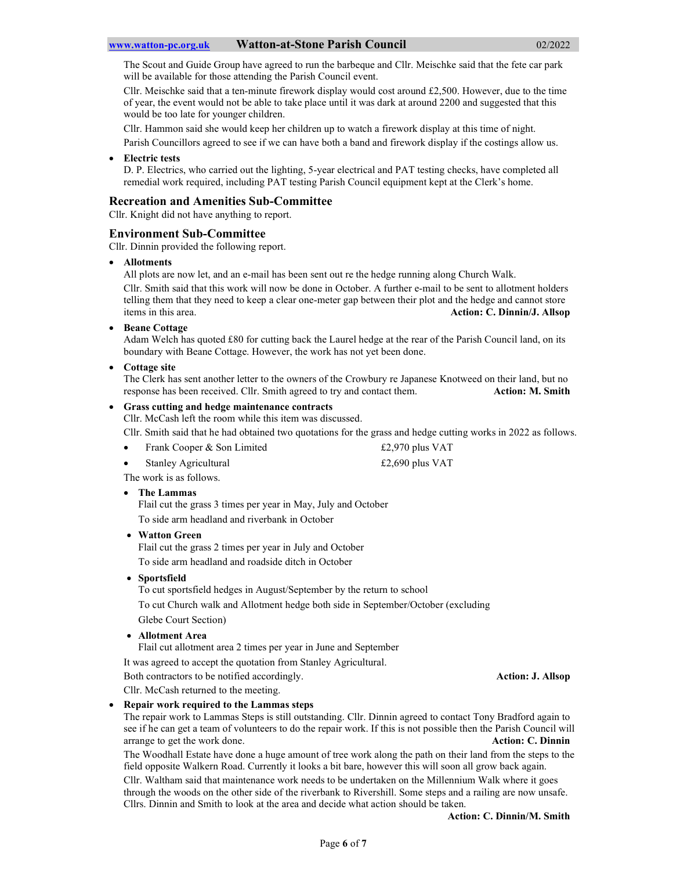The Scout and Guide Group have agreed to run the barbeque and Cllr. Meischke said that the fete car park will be available for those attending the Parish Council event.

Cllr. Meischke said that a ten-minute firework display would cost around £2,500. However, due to the time of year, the event would not be able to take place until it was dark at around 2200 and suggested that this would be too late for younger children.

Cllr. Hammon said she would keep her children up to watch a firework display at this time of night.

Parish Councillors agreed to see if we can have both a band and firework display if the costings allow us.

## Electric tests

D. P. Electrics, who carried out the lighting, 5-year electrical and PAT testing checks, have completed all remedial work required, including PAT testing Parish Council equipment kept at the Clerk's home.

## Recreation and Amenities Sub-Committee

Cllr. Knight did not have anything to report.

## Environment Sub-Committee

Cllr. Dinnin provided the following report.

## Allotments

All plots are now let, and an e-mail has been sent out re the hedge running along Church Walk. Cllr. Smith said that this work will now be done in October. A further e-mail to be sent to allotment holders telling them that they need to keep a clear one-meter gap between their plot and the hedge and cannot store items in this area. Action: C. Dinnin/J. Allsop

Beane Cottage

Adam Welch has quoted £80 for cutting back the Laurel hedge at the rear of the Parish Council land, on its boundary with Beane Cottage. However, the work has not yet been done.

## • Cottage site

The Clerk has sent another letter to the owners of the Crowbury re Japanese Knotweed on their land, but no response has been received. Cllr. Smith agreed to try and contact them. Action: M. Smith

## Grass cutting and hedge maintenance contracts

Cllr. McCash left the room while this item was discussed.

Cllr. Smith said that he had obtained two quotations for the grass and hedge cutting works in 2022 as follows.

| Frank Cooper & Son Limited | £2,970 plus $VAT$ |
|----------------------------|-------------------|
|----------------------------|-------------------|

Stanley Agricultural  $\text{£}2,690 \text{ plus } \text{VAT}$ 

The work is as follows.

## The Lammas

Flail cut the grass 3 times per year in May, July and October To side arm headland and riverbank in October

#### Watton Green

Flail cut the grass 2 times per year in July and October To side arm headland and roadside ditch in October

Sportsfield

To cut sportsfield hedges in August/September by the return to school

To cut Church walk and Allotment hedge both side in September/October (excluding

Glebe Court Section)

Allotment Area

Flail cut allotment area 2 times per year in June and September

It was agreed to accept the quotation from Stanley Agricultural.

Both contractors to be notified accordingly. Action: J. Allsop

Cllr. McCash returned to the meeting.

#### Repair work required to the Lammas steps

The repair work to Lammas Steps is still outstanding. Cllr. Dinnin agreed to contact Tony Bradford again to see if he can get a team of volunteers to do the repair work. If this is not possible then the Parish Council will arrange to get the work done. **Action: C. Dinnin** 

The Woodhall Estate have done a huge amount of tree work along the path on their land from the steps to the field opposite Walkern Road. Currently it looks a bit bare, however this will soon all grow back again.

Cllr. Waltham said that maintenance work needs to be undertaken on the Millennium Walk where it goes through the woods on the other side of the riverbank to Rivershill. Some steps and a railing are now unsafe. Cllrs. Dinnin and Smith to look at the area and decide what action should be taken.

Action: C. Dinnin/M. Smith